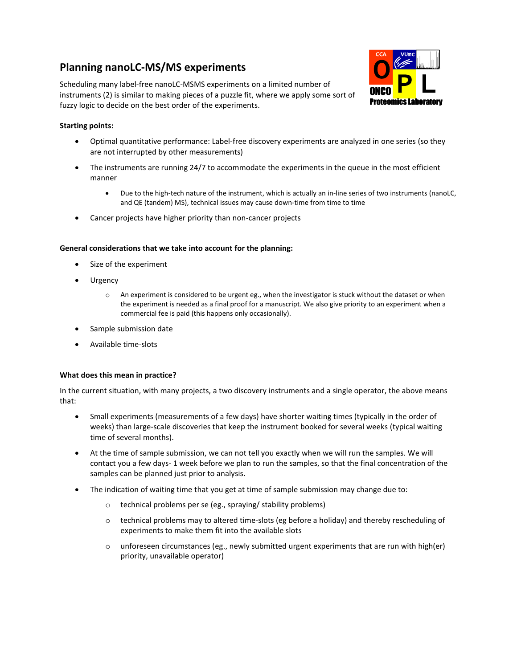# **Planning nanoLC-MS/MS experiments**

Scheduling many label-free nanoLC-MSMS experiments on a limited number of instruments (2) is similar to making pieces of a puzzle fit, where we apply some sort of fuzzy logic to decide on the best order of the experiments.



### **Starting points:**

- Optimal quantitative performance: Label-free discovery experiments are analyzed in one series (so they are not interrupted by other measurements)
- The instruments are running 24/7 to accommodate the experiments in the queue in the most efficient manner
	- Due to the high-tech nature of the instrument, which is actually an in-line series of two instruments (nanoLC, and QE (tandem) MS), technical issues may cause down-time from time to time
- Cancer projects have higher priority than non-cancer projects

#### **General considerations that we take into account for the planning:**

- Size of the experiment
- Urgency
	- o An experiment is considered to be urgent eg., when the investigator is stuck without the dataset or when the experiment is needed as a final proof for a manuscript. We also give priority to an experiment when a commercial fee is paid (this happens only occasionally).
- Sample submission date
- Available time-slots

#### **What does this mean in practice?**

In the current situation, with many projects, a two discovery instruments and a single operator, the above means that:

- Small experiments (measurements of a few days) have shorter waiting times (typically in the order of weeks) than large-scale discoveries that keep the instrument booked for several weeks (typical waiting time of several months).
- At the time of sample submission, we can not tell you exactly when we will run the samples. We will contact you a few days- 1 week before we plan to run the samples, so that the final concentration of the samples can be planned just prior to analysis.
- The indication of waiting time that you get at time of sample submission may change due to:
	- o technical problems per se (eg., spraying/ stability problems)
	- $\circ$  technical problems may to altered time-slots (eg before a holiday) and thereby rescheduling of experiments to make them fit into the available slots
	- $\circ$  unforeseen circumstances (eg., newly submitted urgent experiments that are run with high(er) priority, unavailable operator)